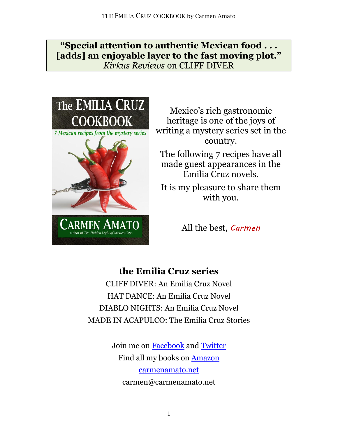**"Special attention to authentic Mexican food . . . [adds] an enjoyable layer to the fast moving plot."**  *Kirkus Reviews* on CLIFF DIVER



Mexico's rich gastronomic heritage is one of the joys of writing a mystery series set in the country.

The following 7 recipes have all made guest appearances in the Emilia Cruz novels.

It is my pleasure to share them with you.

All the best, *Carmen*

# **the Emilia Cruz series**

CLIFF DIVER: An Emilia Cruz Novel HAT DANCE: An Emilia Cruz Novel DIABLO NIGHTS: An Emilia Cruz Novel MADE IN ACAPULCO: The Emilia Cruz Stories

> Join me on [Facebook](http://facebook.com/authorcarmenamato/) and [Twitter](http://twitter.com/CarmenConnects/) Find all my books on [Amazon](http://amazon.com/author/carmenamato/) [carmenamato.net](http://carmenamato.net/) carmen@carmenamato.net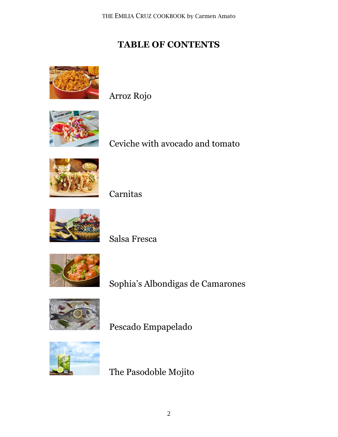# **TABLE OF CONTENTS**



Arroz Rojo



Ceviche with avocado and tomato



Carnitas



Salsa Fresca



Sophia's Albondigas de Camarones



Pescado Empapelado



The Pasodoble Mojito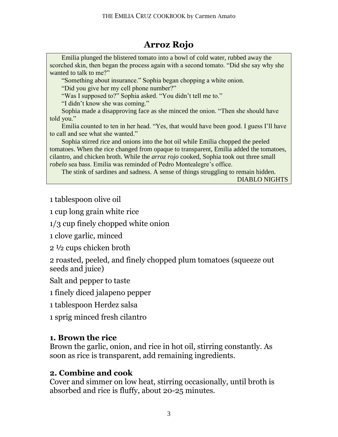# **Arroz Rojo**

Emilia plunged the blistered tomato into a bowl of cold water, rubbed away the scorched skin, then began the process again with a second tomato. "Did she say why she wanted to talk to me?"

"Something about insurance." Sophia began chopping a white onion.

"Did you give her my cell phone number?"

"Was I supposed to?" Sophia asked. "You didn't tell me to."

"I didn't know she was coming."

Sophia made a disapproving face as she minced the onion. "Then she should have told you."

Emilia counted to ten in her head. "Yes, that would have been good. I guess I'll have to call and see what she wanted."

Sophia stirred rice and onions into the hot oil while Emilia chopped the peeled tomatoes. When the rice changed from opaque to transparent, Emilia added the tomatoes, cilantro, and chicken broth. While the *arroz rojo* cooked, Sophia took out three small *robelo* sea bass. Emilia was reminded of Pedro Montealegre's office.

The stink of sardines and sadness. A sense of things struggling to remain hidden. DIABLO NIGHTS

1 tablespoon olive oil

1 cup long grain white rice

1/3 cup finely chopped white onion

1 clove garlic, minced

2 ½ cups chicken broth

2 roasted, peeled, and finely chopped plum tomatoes (squeeze out seeds and juice)

Salt and pepper to taste

1 finely diced jalapeno pepper

1 tablespoon Herdez salsa

1 sprig minced fresh cilantro

## **1. Brown the rice**

Brown the garlic, onion, and rice in hot oil, stirring constantly. As soon as rice is transparent, add remaining ingredients.

## **2. Combine and cook**

Cover and simmer on low heat, stirring occasionally, until broth is absorbed and rice is fluffy, about 20-25 minutes.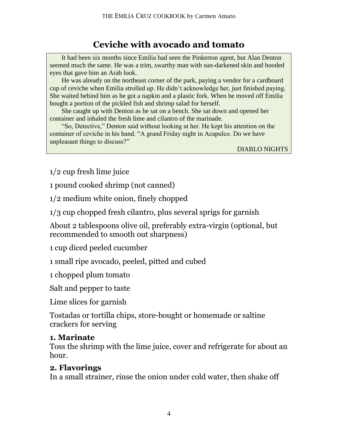# **Ceviche with avocado and tomato**

It had been six months since Emilia had seen the Pinkerton agent, but Alan Denton seemed much the same. He was a trim, swarthy man with sun-darkened skin and hooded eyes that gave him an Arab look.

He was already on the northeast corner of the park, paying a vendor for a cardboard cup of ceviche when Emilia strolled up. He didn't acknowledge her, just finished paying. She waited behind him as he got a napkin and a plastic fork. When he moved off Emilia bought a portion of the pickled fish and shrimp salad for herself.

She caught up with Denton as he sat on a bench. She sat down and opened her container and inhaled the fresh lime and cilantro of the marinade.

"So, Detective," Denton said without looking at her. He kept his attention on the container of ceviche in his hand. "A grand Friday night in Acapulco. Do we have unpleasant things to discuss?"

DIABLO NIGHTS

1/2 cup fresh lime juice

1 pound cooked shrimp (not canned)

1/2 medium white onion, finely chopped

1/3 cup chopped fresh cilantro, plus several sprigs for garnish

About 2 tablespoons olive oil, preferably extra-virgin (optional, but recommended to smooth out sharpness)

1 cup diced peeled cucumber

1 small ripe avocado, peeled, pitted and cubed

1 chopped plum tomato

Salt and pepper to taste

Lime slices for garnish

Tostadas or tortilla chips, store-bought or homemade or saltine crackers for serving

#### **1. Marinate**

Toss the shrimp with the lime juice, cover and refrigerate for about an hour.

#### **2. Flavorings**

In a small strainer, rinse the onion under cold water, then shake off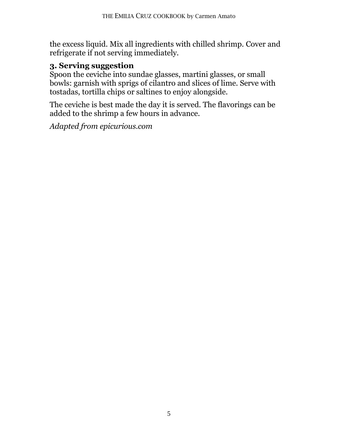the excess liquid. Mix all ingredients with chilled shrimp. Cover and refrigerate if not serving immediately.

## **3. Serving suggestion**

Spoon the ceviche into sundae glasses, martini glasses, or small bowls: garnish with sprigs of cilantro and slices of lime. Serve with tostadas, tortilla chips or saltines to enjoy alongside.

The ceviche is best made the day it is served. The flavorings can be added to the shrimp a few hours in advance.

*Adapted from epicurious.com*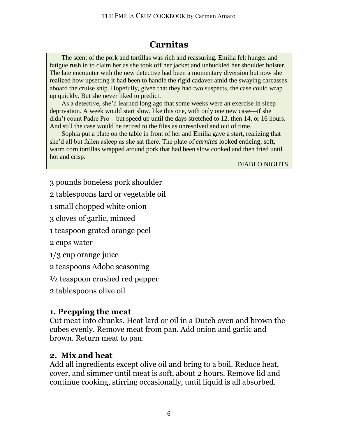# **Carnitas**

The scent of the pork and tortillas was rich and reassuring. Emilia felt hunger and fatigue rush in to claim her as she took off her jacket and unbuckled her shoulder holster. The late encounter with the new detective had been a momentary diversion but now she realized how upsetting it had been to handle the rigid cadaver amid the swaying carcasses aboard the cruise ship. Hopefully, given that they had two suspects, the case could wrap up quickly. But she never liked to predict.

As a detective, she'd learned long ago that some weeks were an exercise in sleep deprivation. A week would start slow, like this one, with only one new case—if she didn't count Padre Pro—but speed up until the days stretched to 12, then 14, or 16 hours. And still the case would be retired to the files as unresolved and out of time.

Sophia put a plate on the table in front of her and Emilia gave a start, realizing that she'd all but fallen asleep as she sat there. The plate of *carnitas* looked enticing; soft, warm corn tortillas wrapped around pork that had been slow cooked and then fried until hot and crisp.

DIABLO NIGHTS

- 3 pounds boneless pork shoulder
- 2 tablespoons lard or vegetable oil
- 1 small chopped white onion
- 3 cloves of garlic, minced
- 1 teaspoon grated orange peel
- 2 cups water
- 1/3 cup orange juice
- 2 teaspoons Adobe seasoning
- ½ teaspoon crushed red pepper
- 2 tablespoons olive oil

## **1. Prepping the meat**

Cut meat into chunks. Heat lard or oil in a Dutch oven and brown the cubes evenly. Remove meat from pan. Add onion and garlic and brown. Return meat to pan.

## **2. Mix and heat**

Add all ingredients except olive oil and bring to a boil. Reduce heat, cover, and simmer until meat is soft, about 2 hours. Remove lid and continue cooking, stirring occasionally, until liquid is all absorbed.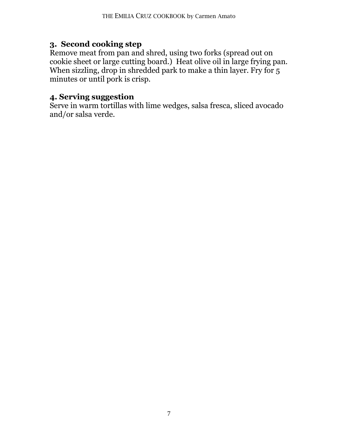### **3. Second cooking step**

Remove meat from pan and shred, using two forks (spread out on cookie sheet or large cutting board.) Heat olive oil in large frying pan. When sizzling, drop in shredded park to make a thin layer. Fry for 5 minutes or until pork is crisp.

#### **4. Serving suggestion**

Serve in warm tortillas with lime wedges, salsa fresca, sliced avocado and/or salsa verde.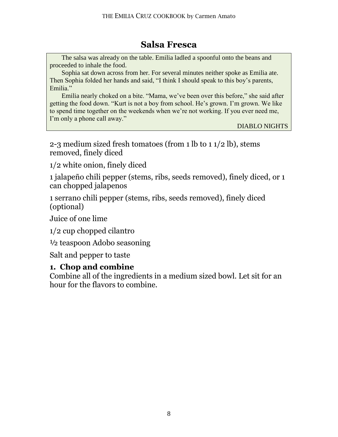# **Salsa Fresca**

The salsa was already on the table. Emilia ladled a spoonful onto the beans and proceeded to inhale the food.

Sophia sat down across from her. For several minutes neither spoke as Emilia ate. Then Sophia folded her hands and said, "I think I should speak to this boy's parents, Emilia."

Emilia nearly choked on a bite. "Mama, we've been over this before," she said after getting the food down. "Kurt is not a boy from school. He's grown. I'm grown. We like to spend time together on the weekends when we're not working. If you ever need me, I'm only a phone call away."

DIABLO NIGHTS

2-3 medium sized fresh tomatoes (from 1 lb to 1 1/2 lb), stems removed, finely diced

1/2 white onion, finely diced

1 jalapeño chili pepper (stems, ribs, seeds removed), finely diced, or 1 can chopped jalapenos

1 serrano chili pepper (stems, ribs, seeds removed), finely diced (optional)

Juice of one lime

1/2 cup chopped cilantro

½ teaspoon Adobo seasoning

Salt and pepper to taste

#### **1. Chop and combine**

Combine all of the ingredients in a medium sized bowl. Let sit for an hour for the flavors to combine.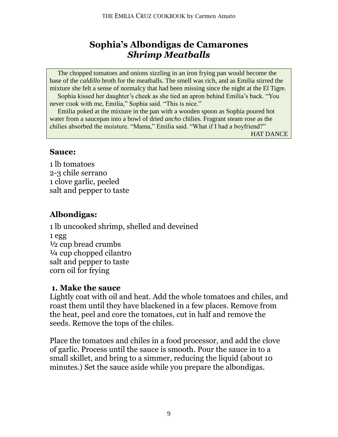## **Sophia's Albondigas de Camarones** *Shrimp Meatballs*

The chopped tomatoes and onions sizzling in an iron frying pan would become the base of the *caldillo* broth for the meatballs. The smell was rich, and as Emilia stirred the mixture she felt a sense of normalcy that had been missing since the night at the El Tigre.

Sophia kissed her daughter's cheek as she tied an apron behind Emilia's back. "You never cook with me, Emilia," Sophia said. "This is nice."

Emilia poked at the mixture in the pan with a wooden spoon as Sophia poured hot water from a saucepan into a bowl of dried *ancho* chilies. Fragrant steam rose as the chilies absorbed the moisture. "Mama," Emilia said. "What if I had a boyfriend?"

HAT DANCE

#### **Sauce:**

1 lb tomatoes 2-3 chile serrano 1 clove garlic, peeled salt and pepper to taste

### **Albondigas:**

1 lb uncooked shrimp, shelled and deveined 1 egg  $\frac{1}{2}$  cup bread crumbs ¼ cup chopped cilantro salt and pepper to taste corn oil for frying

#### **1. Make the sauce**

Lightly coat with oil and heat. Add the whole tomatoes and chiles, and roast them until they have blackened in a few places. Remove from the heat, peel and core the tomatoes, cut in half and remove the seeds. Remove the tops of the chiles.

Place the tomatoes and chiles in a food processor, and add the clove of garlic. Process until the sauce is smooth. Pour the sauce in to a small skillet, and bring to a simmer, reducing the liquid (about 10 minutes.) Set the sauce aside while you prepare the albondigas.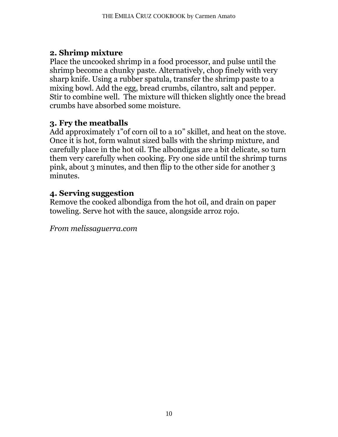## **2. Shrimp mixture**

Place the uncooked shrimp in a food processor, and pulse until the shrimp become a chunky paste. Alternatively, chop finely with very sharp knife. Using a rubber spatula, transfer the shrimp paste to a mixing bowl. Add the egg, bread crumbs, cilantro, salt and pepper. Stir to combine well. The mixture will thicken slightly once the bread crumbs have absorbed some moisture.

## **3. Fry the meatballs**

Add approximately 1"of corn oil to a 10" skillet, and heat on the stove. Once it is hot, form walnut sized balls with the shrimp mixture, and carefully place in the hot oil. The albondigas are a bit delicate, so turn them very carefully when cooking. Fry one side until the shrimp turns pink, about 3 minutes, and then flip to the other side for another 3 minutes.

## **4. Serving suggestion**

Remove the cooked albondiga from the hot oil, and drain on paper toweling. Serve hot with the sauce, alongside arroz rojo.

*From melissaguerra.com*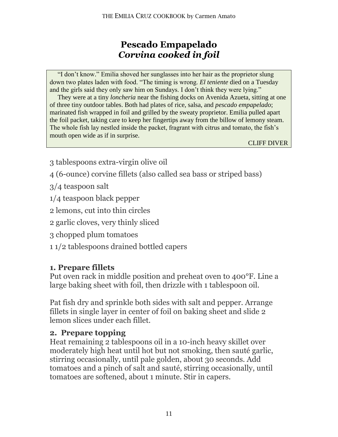# **Pescado Empapelado** *Corvina cooked in foil*

"I don't know." Emilia shoved her sunglasses into her hair as the proprietor slung down two plates laden with food. "The timing is wrong. *El teniente* died on a Tuesday and the girls said they only saw him on Sundays. I don't think they were lying."

They were at a tiny *loncheria* near the fishing docks on Avenida Azueta, sitting at one of three tiny outdoor tables. Both had plates of rice, salsa, and *pescado empapelado*; marinated fish wrapped in foil and grilled by the sweaty proprietor. Emilia pulled apart the foil packet, taking care to keep her fingertips away from the billow of lemony steam. The whole fish lay nestled inside the packet, fragrant with citrus and tomato, the fish's mouth open wide as if in surprise.

CLIFF DIVER

- 3 tablespoons extra-virgin olive oil
- 4 (6-ounce) corvine fillets (also called sea bass or striped bass)
- 3/4 teaspoon salt
- 1/4 teaspoon black pepper
- 2 lemons, cut into thin circles
- 2 garlic cloves, very thinly sliced
- 3 chopped plum tomatoes
- 1 1/2 tablespoons drained bottled capers

## **1. Prepare fillets**

Put oven rack in middle position and preheat oven to 400°F. Line a large baking sheet with foil, then drizzle with 1 tablespoon oil.

Pat fish dry and sprinkle both sides with salt and pepper. Arrange fillets in single layer in center of foil on baking sheet and slide 2 lemon slices under each fillet.

## **2. Prepare topping**

Heat remaining 2 tablespoons oil in a 10-inch heavy skillet over moderately high heat until hot but not smoking, then sauté garlic, stirring occasionally, until pale golden, about 30 seconds. Add tomatoes and a pinch of salt and sauté, stirring occasionally, until tomatoes are softened, about 1 minute. Stir in capers.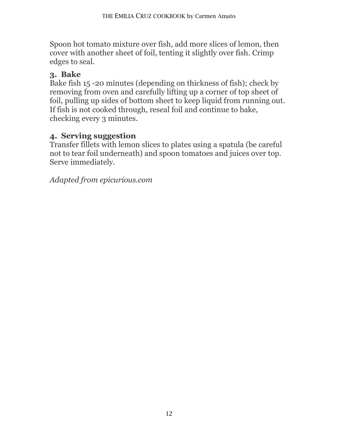Spoon hot tomato mixture over fish, add more slices of lemon, then cover with another sheet of foil, tenting it slightly over fish. Crimp edges to seal.

## **3. Bake**

Bake fish 15 -20 minutes (depending on thickness of fish); check by removing from oven and carefully lifting up a corner of top sheet of foil, pulling up sides of bottom sheet to keep liquid from running out. If fish is not cooked through, reseal foil and continue to bake, checking every 3 minutes.

# **4. Serving suggestion**

Transfer fillets with lemon slices to plates using a spatula (be careful not to tear foil underneath) and spoon tomatoes and juices over top. Serve immediately.

*Adapted from epicurious.com*